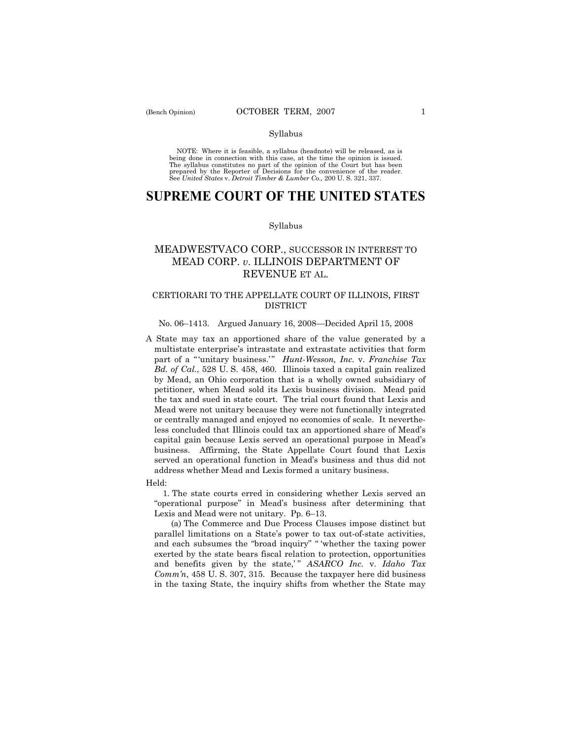#### Syllabus

NOTE: Where it is feasible, a syllabus (headnote) will be released, as is being done in connection with this case, at the time the opinion is issued. The syllabus constitutes no part of the opinion of the Court but has been<br>prepared by the Reporter of Decisions for the convenience of the reader.<br>See United States v. Detroit Timber & Lumber Co., 200 U. S. 321, 337.

# **SUPREME COURT OF THE UNITED STATES**

#### Syllabus

## MEADWESTVACO CORP., SUCCESSOR IN INTEREST TO MEAD CORP. *v*. ILLINOIS DEPARTMENT OF REVENUE ET AL.

### CERTIORARI TO THE APPELLATE COURT OF ILLINOIS, FIRST DISTRICT

### No. 06–1413. Argued January 16, 2008—Decided April 15, 2008

A State may tax an apportioned share of the value generated by a multistate enterprise's intrastate and extrastate activities that form part of a "'unitary business.'" *Hunt-Wesson, Inc.* v. *Franchise Tax Bd. of Cal.*, 528 U. S. 458, 460. Illinois taxed a capital gain realized by Mead, an Ohio corporation that is a wholly owned subsidiary of petitioner, when Mead sold its Lexis business division. Mead paid the tax and sued in state court. The trial court found that Lexis and Mead were not unitary because they were not functionally integrated or centrally managed and enjoyed no economies of scale. It nevertheless concluded that Illinois could tax an apportioned share of Mead's capital gain because Lexis served an operational purpose in Mead's business. Affirming, the State Appellate Court found that Lexis served an operational function in Mead's business and thus did not address whether Mead and Lexis formed a unitary business.

#### Held:

 1. The state courts erred in considering whether Lexis served an "operational purpose" in Mead's business after determining that Lexis and Mead were not unitary. Pp. 6–13.

 (a) The Commerce and Due Process Clauses impose distinct but parallel limitations on a State's power to tax out-of-state activities, and each subsumes the "broad inquiry" " 'whether the taxing power exerted by the state bears fiscal relation to protection, opportunities and benefits given by the state," *ASARCO Inc.* v. *Idaho Tax Comm'n*, 458 U. S. 307, 315. Because the taxpayer here did business in the taxing State, the inquiry shifts from whether the State may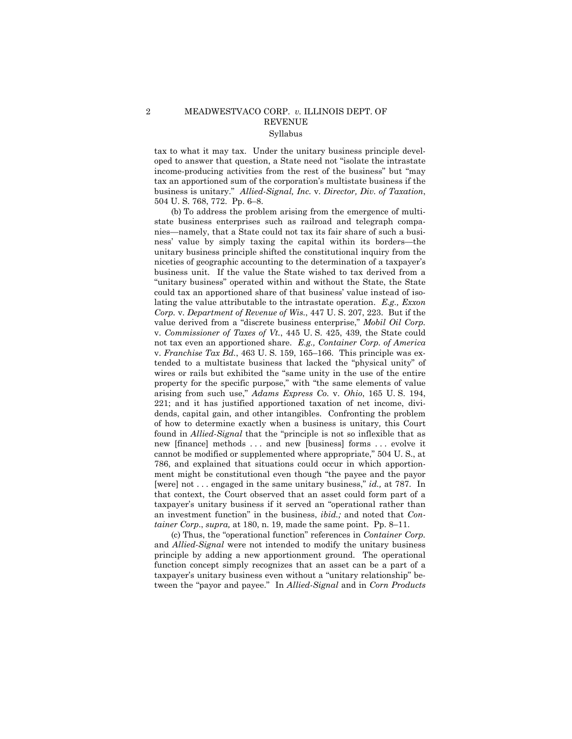### 2 MEADWESTVACO CORP. *v.* ILLINOIS DEPT. OF REVENUE Syllabus

tax to what it may tax. Under the unitary business principle developed to answer that question, a State need not "isolate the intrastate income-producing activities from the rest of the business" but "may tax an apportioned sum of the corporation's multistate business if the business is unitary." *Allied-Signal, Inc.* v. *Director, Div. of Taxation*, 504 U. S. 768, 772. Pp. 6–8.

 (b) To address the problem arising from the emergence of multistate business enterprises such as railroad and telegraph companies—namely, that a State could not tax its fair share of such a business' value by simply taxing the capital within its borders—the unitary business principle shifted the constitutional inquiry from the niceties of geographic accounting to the determination of a taxpayer's business unit. If the value the State wished to tax derived from a "unitary business" operated within and without the State, the State could tax an apportioned share of that business' value instead of isolating the value attributable to the intrastate operation. *E.g., Exxon Corp.* v. *Department of Revenue of Wis.*, 447 U. S. 207, 223. But if the value derived from a "discrete business enterprise," *Mobil Oil Corp.* v. *Commissioner of Taxes of Vt.*, 445 U. S. 425, 439, the State could not tax even an apportioned share. *E.g., Container Corp. of America* v. *Franchise Tax Bd.*, 463 U. S. 159, 165–166. This principle was extended to a multistate business that lacked the "physical unity" of wires or rails but exhibited the "same unity in the use of the entire property for the specific purpose," with "the same elements of value arising from such use," *Adams Express Co.* v. *Ohio*, 165 U. S. 194, 221; and it has justified apportioned taxation of net income, dividends, capital gain, and other intangibles. Confronting the problem of how to determine exactly when a business is unitary*,* this Court found in *Allied-Signal* that the "principle is not so inflexible that as new [finance] methods . . . and new [business] forms . . . evolve it cannot be modified or supplemented where appropriate," 504 U. S., at 786, and explained that situations could occur in which apportionment might be constitutional even though "the payee and the payor [were] not . . . engaged in the same unitary business," *id.,* at 787. In that context, the Court observed that an asset could form part of a taxpayer's unitary business if it served an "operational rather than an investment function" in the business, *ibid.;* and noted that *Container Corp*., *supra,* at 180, n. 19, made the same point. Pp. 8–11.

 (c) Thus, the "operational function" references in *Container Corp.* and *Allied-Signal* were not intended to modify the unitary business principle by adding a new apportionment ground. The operational function concept simply recognizes that an asset can be a part of a taxpayer's unitary business even without a "unitary relationship" between the "payor and payee." In *Allied-Signal* and in *Corn Products*